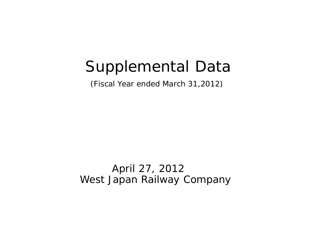# Supplemental Data

(Fiscal Year ended March 31,2012)

April 27, 2012 West Japan Railway Company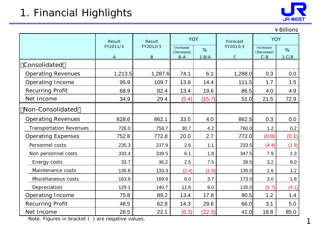# 1. Financial Highlights



|                                |              |              |                              |           |               |                         | ¥ Billions |
|--------------------------------|--------------|--------------|------------------------------|-----------|---------------|-------------------------|------------|
|                                | Result       | Result       | <b>YOY</b>                   |           | Forecast      | <b>YOY</b>              |            |
|                                | FY2011/3     | FY2012/3     | Increase/<br>%<br>(Decrease) |           | FY2013/3      | Increase/<br>(Decrease) | %          |
|                                | $\mathbf{A}$ | $\, {\bf B}$ | $B - A$                      | $1 - B/A$ | $\mathcal{C}$ | $C - B$                 | $1-C/B$    |
| Consolidated                   |              |              |                              |           |               |                         |            |
| <b>Operating Revenues</b>      | 1,213.5      | 1,287.6      | 74.1                         | 6.1       | 1,288.0       | 0.3                     | 0.0        |
| Operating Income               | 95.9         | 109.7        | 13.8                         | 14.4      | 111.5         | 1.7                     | 1.5        |
| <b>Recurring Profit</b>        | 68.9         | 82.4         | 13.4                         | 19.6      | 86.5          | 4.0                     | 4.9        |
| Net Income                     | 34.9         | 29.4         | (5.4)                        | (15.7)    | 51.0          | 21.5                    | 72.9       |
| Non-Consolidated               |              |              |                              |           |               |                         |            |
| <b>Operating Revenues</b>      | 828.6        | 862.1        | 33.5                         | 4.0       | 862.5         | 0.3                     | 0.0        |
| <b>Transportation Revenues</b> | 728.0        | 758.7        | 30.7                         | 4.2       | 760.0         | 1.2                     | 0.2        |
| <b>Operating Expenses</b>      | 752.8        | 772.8        | 20.0                         | 2.7       | 772.0         | (0.8)                   | (0.1)      |
| Personnel costs                | 235.3        | 237.9        | 2.6                          | 1.1       | 233.5         | (4.4)                   | (1.9)      |
| Non personnel costs            | 333.4        | 339.5        | 6.1                          | 1.8       | 347.5         | 7.9                     | 2.3        |
| Energy costs                   | 33.7         | 36.2         | 2.5                          | 7.5       | 39.5          | 3.2                     | 9.0        |
| Maintenance costs              | 135.8        | 133.3        | (2.4)                        | (1.8)     | 135.0         | 1.6                     | 1.2        |
| Miscellaneous costs            | 163.8        | 169.9        | 6.0                          | 3.7       | 173.0         | 3.0                     | 1.8        |
| Depreciation                   | 129.1        | 140.7        | 11.6                         | 9.0       | 135.0         | (5.7)                   | (4.1)      |
| Operating Income               | 75.8         | 89.2         | 13.4                         | 17.8      | 90.5          | 1.2                     | 1.4        |
| <b>Recurring Profit</b>        | 48.5         | 62.8         | 14.3                         | 29.6      | 66.0          | 3.1                     | 5.0        |
| Net Income                     | 28.5         | 22.1         | (6.3)                        | (22.3)    | 41.0          | 18.8                    | 85.0       |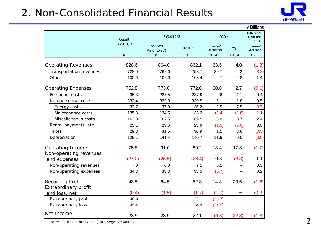# 2. Non-Consolidated Financial Results



|                           |          |                          |              |                         |         | $4$ Billions                              |
|---------------------------|----------|--------------------------|--------------|-------------------------|---------|-------------------------------------------|
|                           | Result   |                          | FY2012/3     | <b>YOY</b>              |         | <b>Difference</b><br>from the<br>forecast |
|                           | FY2011/3 | Forecast<br>(As of 1/27) | Result       | Increase/<br>(Decrease) | %       | Increase/<br>(Decrease)                   |
|                           | Α        | B                        | $\mathsf{C}$ | $C - A$                 | $1-C/A$ | $C - B$                                   |
| <b>Operating Revenues</b> | 828.6    | 864.0                    | 862.1        | 33.5                    | 4.0     | (1.8)                                     |
| Transportation revenues   | 728.0    | 762.0                    | 758.7        | 30.7                    | 4.2     | (3.2)                                     |
| Other                     | 100.6    | 102.0                    | 103.4        | 2.7                     | 2.8     | 1.4                                       |
| <b>Operating Expenses</b> | 752.8    | 773.0                    | 772.8        | 20.0                    | 2.7     | (0.1)                                     |
| Personnel costs           | 235.3    | 237.5                    | 237.9        | 2.6                     | 1.1     | 0.4                                       |
| Non personnel costs       | 333.4    | 339.0                    | 339.5        | 6.1                     | 1.8     | 0.5                                       |
| Energy costs              | 33.7     | 37.0                     | 36.2         | 2.5                     | 7.5     | (0.7)                                     |
| Maintenance costs         | 135.8    | 134.5                    | 133.3        | (2.4)                   | (1.8)   | (1.1)                                     |
| Miscellaneous costs       | 163.8    | 167.5                    | 169.9        | 6.0                     | 3.7     | 2.4                                       |
| Rental payments, etc.     | 25.1     | 23.6                     | 23.6         | (1.5)                   | (6.0)   | 0.0                                       |
| <b>Taxes</b>              | 29.8     | 31.5                     | 30.9         | 1.1                     | 3.8     | (0.5)                                     |
| Depreciation              | 129.1    | 141.4                    | 140.7        | 11.6                    | 9.0     | (0.6)                                     |
| Operating Income          | 75.8     | 91.0                     | 89.2         | 13.4                    | 17.8    | (1.7)                                     |
| Non-operating revenues    |          |                          |              |                         |         |                                           |
| and expenses              | (27.2)   | (26.5)                   | (26.4)       | 0.8                     | (3.3)   | 0.0                                       |
| Non-operating revenues    | 7.0      | 6.8                      | 7.1          | 0.1                     |         | 0.3                                       |
| Non-operating expenses    | 34.3     | 33.3                     | 33.5         | (0.7)                   |         | 0.2                                       |
| <b>Recurring Profit</b>   | 48.5     | 64.5                     | 62.8         | 14.3                    | 29.6    | (1.6)                                     |
| Extraordinary profit      |          |                          |              |                         |         |                                           |
| and loss, net             | (0.4)    | (1.5)                    | (1.7)        | (1.2)                   |         | (0.2)                                     |
| Extraordinary profit      | 48.9     |                          | 23.1         | (25.7)                  |         |                                           |
| <b>Extraordinary loss</b> | 49.4     |                          | 24.8         | (24.5)                  |         |                                           |
| Net Income                | 28.5     | 23.5                     | 22.1         | (6.3)                   | (22.3)  | (1.3)                                     |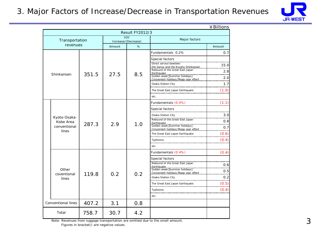### 3. Major Factors of Increase/Decrease in Transportation Revenues



|                           |       |        |                                   |                                                                           | ¥Billions          |  |
|---------------------------|-------|--------|-----------------------------------|---------------------------------------------------------------------------|--------------------|--|
|                           |       |        | <b>Result FY2012/3</b>            |                                                                           |                    |  |
| Transportation            |       |        | <b>YOY</b><br>Increase/(Decrease) | Major factors                                                             |                    |  |
| revenues                  |       | Amount | %                                 |                                                                           | Amount             |  |
|                           |       |        |                                   | Fundamentals 0.2%                                                         | 0.7                |  |
| Shinkansen                | 351.5 | 27.5   | 8.5                               | Special factors<br>Direct service bewteen                                 | 15.0<br>2.8<br>2.0 |  |
|                           |       |        |                                   | Osaka Station City                                                        | 1.7                |  |
|                           |       |        |                                   | The Great East Japan Earthquake<br>etc.                                   | (1.0)              |  |
|                           |       |        |                                   | Fundamentals (0.4%)                                                       | (1.1)              |  |
|                           |       |        |                                   |                                                                           |                    |  |
| Kyoto-Osaka-<br>Kobe Area | 287.3 | 2.9    |                                   | Osaka Station City                                                        | 3.0<br>0.8         |  |
| conventional              |       |        | 1.0                               | 0.0<br>Golden week Summer holidays<br>7.0 To U.D. To U.D. Dummer holidays | 0.7                |  |
| lines                     |       |        |                                   | The Great East Japan Earthquake                                           | (0.6)              |  |
|                           |       |        |                                   | Typhoons                                                                  | (0.4)<br>          |  |
|                           |       |        |                                   | etc.                                                                      |                    |  |
|                           |       |        |                                   | Fundamentals (0.4%)                                                       | (0.4)              |  |
|                           |       |        |                                   | Special factors                                                           |                    |  |
|                           |       |        |                                   |                                                                           | 0.6                |  |
| Other                     |       |        |                                   |                                                                           | 0.5                |  |
| coventional<br>lines      | 119.8 | 0.2    | 0.2                               | Osaka Station City                                                        | 0.2                |  |
|                           |       |        |                                   | The Great East Japan Earthquake                                           | (0.5)              |  |
|                           |       |        |                                   | Typhoons<br>etc.                                                          | (0.4)              |  |
| <b>Conventional lines</b> | 407.2 | 3.1    | 0.8                               |                                                                           |                    |  |
| Total                     | 758.7 | 30.7   | 4.2                               |                                                                           |                    |  |

Note: Revenues from luggage transportation are omitted due to the small amount. Figures in bracket() are negative values.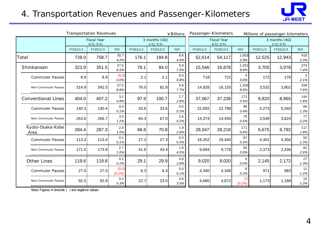# 4. Transportation Revenues and Passenger-Kilometers



|                           | <b>Transportation Revenues</b><br>¥ Billions |                                    |                 |          |                                 | Passenger-Kilometers<br>Millions of passenger-kilometers |  |                                    |          |                                 |          |          |             |
|---------------------------|----------------------------------------------|------------------------------------|-----------------|----------|---------------------------------|----------------------------------------------------------|--|------------------------------------|----------|---------------------------------|----------|----------|-------------|
|                           |                                              | <b>Fiscal Year</b><br>$4/1$ $3/31$ |                 |          | 3 months $(4Q)$<br>$1/1$ $3/31$ |                                                          |  | <b>Fiscal Year</b><br>$4/1$ $3/31$ |          | 3 months $(4Q)$<br>$1/1$ $3/31$ |          |          |             |
|                           | FY2011/3                                     | FY2012/3                           | YOY             | FY2011/3 | FY2012/3                        | YOY                                                      |  | FY2011/3                           | FY2012/3 | <b>YOY</b>                      | FY2011/3 | FY2012/3 | YOY         |
| Total                     | 728.0                                        | 758.7                              | 30.7<br>4.2%    | 176.1    | 184.8                           | 8.6<br>4.9%                                              |  | 52,614                             | 54,117   | 1,503<br>2.9%                   | 12,525   | 12,943   | 418<br>3.3% |
| Shinkansen                | 323.9                                        | 351.5                              | 27.5<br>8.5%    | 78.1     | 84.0                            | 5.8<br>7.5%                                              |  | 15,546                             | 16,878   | 1,331<br>8.6%                   | 3,705    | 3,978    | 273<br>7.4% |
| <b>Commuter Passes</b>    | 8.9                                          | 8.9                                | (0.0)<br>0.0%   | 2.1      | 2.1                             | 0.0<br>0.8%                                              |  | 718                                | 722      | 4<br>0.6%                       | 172      | 176      | 3<br>2.1%   |
| Non-Commuter Passes       | 314.9                                        | 342.5                              | 27.5<br>8.8%    | 76.0     | 81.8                            | 5.8<br>7.7%                                              |  | 14,828                             | 16,155   | 1,326<br>8.9%                   | 3,532    | 3,802    | 269<br>7.6% |
| <b>Conventional Lines</b> | 404.0                                        | 407.2                              | 3.1<br>0.8%     | 97.9     | 100.7                           | 2.7<br>2.8%                                              |  | 37,067                             | 37,239   | 171<br>0.5%                     | 8,820    | 8,965    | 144<br>1.6% |
| <b>Commuter Passes</b>    | 140.3                                        | 140.4                              | 0.0<br>0.1%     | 33.6     | 33.6                            | 0.0<br>0.2%                                              |  | 22,692                             | 22,788   | 96<br>0.4%                      | 5,273    | 5,340    | 66<br>1.3%  |
| Non-Commuter Passes       | 263.6                                        | 266.7                              | 3.0<br>1.2%     | 64.3     | 67.0                            | 2.6<br>4.2%                                              |  | 14,374                             | 14,450   | 75<br>0.5%                      | 3,546    | 3,624    | 77<br>2.2%  |
| Kyoto-Osaka-Kobe<br>Area  | 284.4                                        | 287.3                              | 2.9<br>1.0%     | 68.8     | 70.8                            | 1.9<br>2.8%                                              |  | 28,047                             | 28,218   | 171<br>0.6%                     | 6,675    | 6,792    | 117<br>1.8% |
| <b>Commuter Passes</b>    | 113.3                                        | 113.4                              | 0.1<br>0.1%     | 27.2     | 27.3                            | 0.0<br>0.3%                                              |  | 18,352                             | 18,440   | 87<br>0.5%                      | 4,301    | 4,356    | 55<br>1.3%  |
| Non-Commuter Passes       | 171.0                                        | 173.8                              | 2.7<br>1.6%     | 41.6     | 43.4                            | 1.8<br>4.5%                                              |  | 9,694                              | 9,778    | 83<br>0.9%                      | 2,373    | 2,436    | 62<br>2.6%  |
| <b>Other Lines</b>        | 119.6                                        | 119.8                              | 0.2<br>0.2%     | 29.1     | 29.9                            | 0.8<br>2.8%                                              |  | 9,020                              | 9,020    | 0<br>0.0%                       | 2,145    | 2,172    | 27<br>1.3%  |
| <b>Commuter Passes</b>    | 27.0                                         | 27.0                               | (0.0)<br>(0.2%) | 6.3      | 6.3                             | 0.0<br>0.1%                                              |  | 4,340                              | 4,348    | 8<br>0.2%                       | 971      | 983      | 11<br>1.2%  |
| Non-Commuter Passes       | 92.5                                         | 92.8                               | 0.2<br>0.3%     | 22.7     | 23.5                            | $0.8\,$<br>3.5%                                          |  | 4,680                              | 4,672    | (7)<br>(0.2%)                   | 1,173    | 1,188    | 15<br>1.3%  |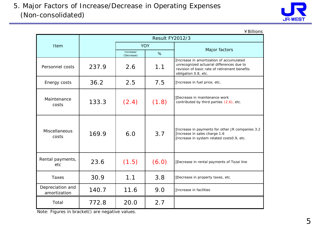

#### ¥Billions

|                                  |       | <b>Result FY2012/3</b>  |            |                                                                                                                                                               |  |  |  |  |
|----------------------------------|-------|-------------------------|------------|---------------------------------------------------------------------------------------------------------------------------------------------------------------|--|--|--|--|
| Item                             |       |                         | <b>YOY</b> | Major factors                                                                                                                                                 |  |  |  |  |
|                                  |       | Increase/<br>(Decrease) | %          |                                                                                                                                                               |  |  |  |  |
| Personnel costs                  | 237.9 | 2.6                     | 1.1        | Increase in amortization of accumulated<br>unrecognized actuarial differences due to<br>revision of basic rate of retirement benefits<br>obligation 0.8, etc. |  |  |  |  |
| Energy costs                     | 36.2  | 2.5                     | 7.5        | Increase in fuel price, etc.                                                                                                                                  |  |  |  |  |
| Maintenance<br>costs             | 133.3 | (2.4)                   | (1.8)      | Decrease in maintenance work<br>contributed by third parties (2.6), etc.                                                                                      |  |  |  |  |
| <b>Miscellaneous</b><br>costs    | 169.9 | 6.0                     | 3.7        | Increase in payments for other JR companies 3.2<br>Increase in sales charge 1.6<br>Increase in system related costs0.9, etc.                                  |  |  |  |  |
| Rental payments,<br>etc          | 23.6  | (1.5)                   | (6.0)      | Decrease in rental payments of Tozai line                                                                                                                     |  |  |  |  |
| Taxes                            | 30.9  | 1.1                     | 3.8        | Decrease in property taxes, etc.                                                                                                                              |  |  |  |  |
| Depreciation and<br>amortization | 140.7 | 11.6                    | 9.0        | Increase in facilities                                                                                                                                        |  |  |  |  |
| Total                            | 772.8 | 20.0                    | 2.7        |                                                                                                                                                               |  |  |  |  |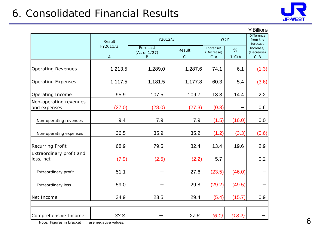

|                                        |               |                               |                        |                                    |                 | $4$ Billions                              |
|----------------------------------------|---------------|-------------------------------|------------------------|------------------------------------|-----------------|-------------------------------------------|
|                                        | Result        | FY2012/3                      |                        | <b>YOY</b>                         |                 | <b>Difference</b><br>from the<br>forecast |
|                                        | FY2011/3<br>A | Forecast<br>(As of 1/27)<br>B | Result<br>$\mathsf{C}$ | Increase/<br>(Decrease)<br>$C - A$ | $\%$<br>$1-C/A$ | Increase/<br>(Decrease)<br>$C - B$        |
| <b>Operating Revenues</b>              | 1,213.5       | 1,289.0                       | 1,287.6                | 74.1                               | 6.1             | (1.3)                                     |
| <b>Operating Expenses</b>              | 1,117.5       | 1,181.5                       | 1,177.8                | 60.3                               | 5.4             | (3.6)                                     |
| Operating Income                       | 95.9          | 107.5                         | 109.7                  | 13.8                               | 14.4            | 2.2                                       |
| Non-operating revenues<br>and expenses | (27.0)        | (28.0)                        | (27.3)                 | (0.3)                              |                 | 0.6                                       |
| Non-operating revenues                 | 9.4           | 7.9                           | 7.9                    | (1.5)                              | (16.0)          | 0.0                                       |
| Non-operating expenses                 | 36.5          | 35.9                          | 35.2                   | (1.2)                              | (3.3)           | (0.6)                                     |
| <b>Recurring Profit</b>                | 68.9          | 79.5                          | 82.4                   | 13.4                               | 19.6            | 2.9                                       |
| Extraordinary profit and<br>loss, net  | (7.9)         | (2.5)                         | (2.2)                  | 5.7                                |                 | 0.2                                       |
| Extraordinary profit                   | 51.1          |                               | 27.6                   | (23.5)                             | (46.0)          |                                           |
| Extraordinary loss                     | 59.0          |                               | 29.8                   | (29.2)                             | (49.5)          |                                           |
| Net Income                             | 34.9          | 28.5                          | 29.4                   | (5.4)                              | (15.7)          | 0.9                                       |
|                                        |               |                               |                        |                                    |                 |                                           |
| Comprehensive Income                   | 33.8          |                               | 27.6                   | (6.1)                              | (18.2)          |                                           |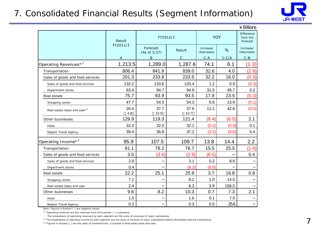### 7. Consolidated Financial Results (Segment Information)



|                                          |             |                          |               |                         |            | $4$ Billions                              |
|------------------------------------------|-------------|--------------------------|---------------|-------------------------|------------|-------------------------------------------|
|                                          | Result      | FY2012/3                 |               |                         | <b>YOY</b> | <b>Difference</b><br>from the<br>forecast |
|                                          | FY2011/3    | Forecast<br>(As of 1/27) | Result        | Increase/<br>(Decrease) | %          | Increase/<br>(Decrease)                   |
|                                          |             | B                        | $\mathcal{C}$ | $C - A$                 | $1-C/A$    | $C - B$                                   |
| Operating Revenues <sup>*1</sup>         | 1,213.5     | 1,289.0                  | 1,287.6       | 74.1                    | 6.1        | (1.3)                                     |
| Transportation                           | 806.4       | 841.9                    | 839.0         | 32.6                    | 4.0        | (2.8)                                     |
| Sales of goods and food services         | 201.3       | 233.9                    | 233.5         | 32.2                    | 16.0       | (0.3)                                     |
| Sales of goods and food services         | 132.2       | 133.8                    | 133.4         | 1.2                     | 0.9        | (0.3)                                     |
| Department stores                        | 63.4        | 94.7                     | 94.9          | 31.5                    | 49.7       | 0.2                                       |
| Real estate                              | 75.7        | 93.9                     | 93.5          | 17.8                    | 23.5       | (0.3)                                     |
| Shopping center                          | 47.7        | 54.5                     | 54.3          | 6.6                     | 13.9       | (0.1)                                     |
| Real estate lease and sale* <sup>3</sup> | 26.4<br>4.8 | 37.7<br>10.5             | 37.6<br>10.7  | 11.2                    | 42.6       | (0.0)                                     |
| Other businesses                         | 129.9       | 119.3                    | 121.4         | (8.4)                   | (6.5)      | 2.1                                       |
| Hotel                                    | 32.4        | 32.0                     | 32.1          | (0.2)                   | (0.9)      | 0.1                                       |
| Nippon Travel Agency                     | 39.4        | 36.8                     | 37.2          | (2.2)                   | (5.6)      | 0.4                                       |
| Operating Income* <sup>2</sup>           | 95.9        | 107.5                    | 109.7         | 13.8                    | 14.4       | 2.2                                       |
| Transportation                           | 61.1        | 78.2                     | 76.7          | 15.5                    | 25.5       | (1.4)                                     |
| Sales of goods and food services         | 3.5         | (3.4)                    | (2.9)         | (6.5)                   |            | 0.4                                       |
| Sales of goods and food services         | 2.8         |                          | 3.1           | 0.2                     | 8.6        |                                           |
| Department stores                        | 0.4         |                          | (6.3)         | (6.8)                   |            |                                           |
| Real estate                              | 22.2        | 25.1                     | 25.9          | 3.7                     | 16.8       | 0.8                                       |
| Shopping center                          | 7.1         |                          | 8.2           | 1.0                     | 14.5       |                                           |
| Real estate lease and sale               | 2.4         |                          | 6.3           | 3.9                     | 158.0      |                                           |
| Other businesses                         | 9.6         | 8.2                      | 10.3          | 0.7                     | 7.3        | 2.1                                       |
| Hotel                                    | 1.5         |                          | 1.6           | 0.1                     | 7.5        |                                           |
| Nippon Travel Agency                     | 0.3         |                          | 0.3           | 0.0                     | 25.6       |                                           |

Note: Figures in bracket ( ) are negative values.

 $*$ <sup>1</sup> Operating revenues are the revenues from third parties ( = customers).

The breakdowns of operating revenues by each segment are the sums of revenues of major subsidiaries.

\*<sup>2</sup> The breakdowns of operating income by each segment are the sums of incomes of major subsidiaries before eliminating internal transactions.

\*<sup>3</sup> Figures in bracket are the sales of condominiums. (Included in Real estate lease and sale)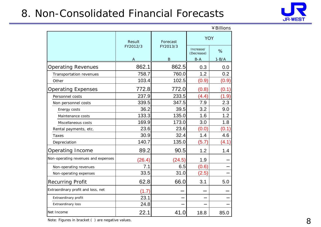# 8. Non-Consolidated Financial Forecasts



 $¥$  Billions

|                                     | Result   | Forecast | <b>YOY</b>              |           |
|-------------------------------------|----------|----------|-------------------------|-----------|
|                                     | FY2012/3 | FY2013/3 | Increase/<br>(Decrease) | %         |
|                                     | A        | $\bf{B}$ | $B - A$                 | $1 - B/A$ |
| <b>Operating Revenues</b>           | 862.1    | 862.5    | 0.3                     | 0.0       |
| Transportation revenues             | 758.7    | 760.0    | 1.2                     | 0.2       |
| Other                               | 103.4    | 102.5    | (0.9)                   | (0.9)     |
| <b>Operating Expenses</b>           | 772.8    | 772.0    | (0.8)                   | (0.1)     |
| Personnel costs                     | 237.9    | 233.5    | (4.4)                   | (1.9)     |
| Non personnel costs                 | 339.5    | 347.5    | 7.9                     | 2.3       |
| Energy costs                        | 36.2     | 39.5     | 3.2                     | 9.0       |
| Maintenance costs                   | 133.3    | 135.0    | 1.6                     | 1.2       |
| Miscellaneous costs                 | 169.9    | 173.0    | 3.0                     | 1.8       |
| Rental payments, etc.               | 23.6     | 23.6     | (0.0)                   | (0.1)     |
| Taxes                               | 30.9     | 32.4     | 1.4                     | 4.6       |
| Depreciation                        | 140.7    | 135.0    | (5.7)                   | (4.1)     |
| Operating Income                    | 89.2     | 90.5     | 1.2                     | 1.4       |
| Non-operating revenues and expenses | (26.4)   | (24.5)   | 1.9                     |           |
| Non-operating revenues              | 7.1      | 6.5      | (0.6)                   |           |
| Non-operating expenses              | 33.5     | 31.0     | (2.5)                   |           |
| <b>Recurring Profit</b>             | 62.8     | 66.0     | 3.1                     | 5.0       |
| Extraordinary profit and loss, net  | (1.7)    |          |                         |           |
| Extraordinary profit                | 23.1     |          |                         |           |
| Extraordinary loss                  | 24.8     |          |                         |           |
| Net Income                          | 22.1     | 41.0     | 18.8                    | 85.0      |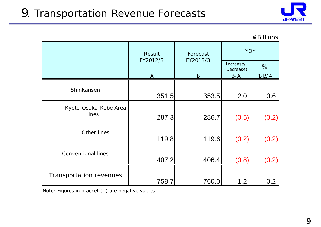

#### ¥Billions

|                                | Result       | Forecast     | <b>YOY</b>              |           |  |
|--------------------------------|--------------|--------------|-------------------------|-----------|--|
|                                | FY2012/3     | FY2013/3     | Increase/<br>(Decrease) | %         |  |
|                                | $\mathbf{A}$ | $\mathbf{B}$ | $B-A$                   | $1 - B/A$ |  |
| Shinkansen                     | 351.5        | 353.5        | 2.0                     | 0.6       |  |
| Kyoto-Osaka-Kobe Area<br>lines | 287.3        | 286.7        | (0.5)                   | (0.2)     |  |
| Other lines                    | 119.8        | 119.6        | (0.2)                   | (0.2)     |  |
| <b>Conventional lines</b>      | 407.2        | 406.4        | (0.8)                   | (0.2)     |  |
| Transportation revenues        | 758.7        | 760.0        | 1.2                     | 0.2       |  |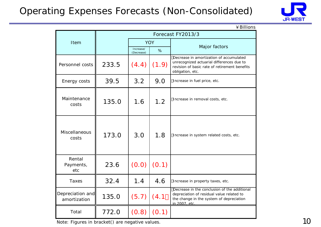# Operating Expenses Forecasts (Non-Consolidated)



| ¥ Billions                       |       |                         |            |                                                                                                                                                           |  |  |  |  |  |
|----------------------------------|-------|-------------------------|------------|-----------------------------------------------------------------------------------------------------------------------------------------------------------|--|--|--|--|--|
|                                  |       |                         |            | Forecast FY2013/3                                                                                                                                         |  |  |  |  |  |
| Item                             |       |                         | <b>YOY</b> |                                                                                                                                                           |  |  |  |  |  |
|                                  |       | Increase/<br>(Decrease) | %          | Major factors                                                                                                                                             |  |  |  |  |  |
| Personnel costs                  | 233.5 | (4.4)                   | (1.9)      | Decrease in amortization of accumulated<br>unrecognized actuarial differences due to<br>revision of basic rate of retirement benefits<br>obligation, etc. |  |  |  |  |  |
| Energy costs                     | 39.5  | 3.2                     | 9.0        | Increase in fuel price, etc.                                                                                                                              |  |  |  |  |  |
| Maintenance<br>costs             | 135.0 | 1.6                     | 1.2        | Increase in removal costs, etc.                                                                                                                           |  |  |  |  |  |
| Miscellaneous<br>costs           | 173.0 | 3.0                     | 1.8        | Increase in system related costs, etc.                                                                                                                    |  |  |  |  |  |
| Rental<br>Payments,<br>etc       | 23.6  | (0.0)                   | (0.1)      |                                                                                                                                                           |  |  |  |  |  |
| Taxes                            | 32.4  | 1.4                     | 4.6        | Increase in property taxes, etc.                                                                                                                          |  |  |  |  |  |
| Depreciation and<br>amortization | 135.0 | (5.7)                   | (4.1)      | Decrease in the conclusion of the additional<br>depreciation of residual value related to<br>the change in the system of depreciation<br>in 2007, etc.    |  |  |  |  |  |
| Total                            | 772.0 | (0.8)                   | (0.1)      |                                                                                                                                                           |  |  |  |  |  |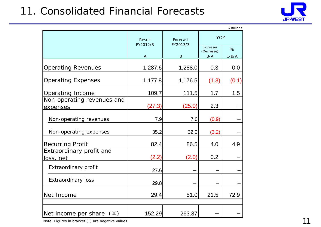# 11. Consolidated Financial Forecasts



|                                              |                    |                      |                         | ¥ Billions |
|----------------------------------------------|--------------------|----------------------|-------------------------|------------|
|                                              | Result<br>FY2012/3 | Forecast<br>FY2013/3 | <b>YOY</b>              |            |
|                                              |                    |                      | Increase/<br>(Decrease) | %          |
|                                              | A                  | $\bf{B}$             | $B - A$                 | $1 - B/A$  |
| <b>Operating Revenues</b>                    | 1,287.6            | 1,288.0              | 0.3                     | 0.0        |
| <b>Operating Expenses</b>                    | 1,177.8            | 1,176.5              | (1.3)                   | (0.1)      |
| <b>Operating Income</b>                      | 109.7              | 111.5                | 1.7                     | 1.5        |
| Non-operating revenues and<br>expenses       | (27.3)             | (25.0)               | 2.3                     |            |
| Non-operating revenues                       | 7.9                | 7.0                  | (0.9)                   |            |
| Non-operating expenses                       | 35.2               | 32.0                 | (3.2)                   |            |
| <b>Recurring Profit</b>                      | 82.4               | 86.5                 | 4.0                     | 4.9        |
| Extraordinary profit and<br><u>loss, net</u> | (2.2)              | (2.0)                | 0.2                     |            |
| Extraordinary profit                         | 27.6               |                      |                         |            |
| <b>Extraordinary loss</b>                    | 29.8               |                      |                         |            |
| Net Income                                   | 29.4               | 51.0                 | 21.5                    | 72.9       |
|                                              |                    |                      |                         |            |
| Net income per share<br>$(\yen)$             | 152.29             | 263.37               |                         |            |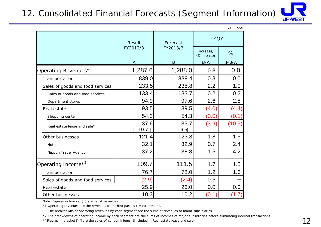### 12. Consolidated Financial Forecasts (Segment Information)



|                                  |              |             |                         | ¥Billions |  |
|----------------------------------|--------------|-------------|-------------------------|-----------|--|
|                                  | Result       | Forecast    | <b>YOY</b>              |           |  |
|                                  | FY2012/3     | FY2013/3    | Increase/<br>(Decrease) | $\%$      |  |
|                                  | A            | $\bf{B}$    | $B - A$                 | $1 - B/A$ |  |
| Operating Revenues <sup>*1</sup> | 1,287.6      | 1,288.0     | 0.3                     | 0.0       |  |
| Transportation                   | 839.0        | 839.4       | 0.3                     | 0.0       |  |
| Sales of goods and food services | 233.5        | 235.8       | 2.2                     | 1.0       |  |
| Sales of goods and food services | 133.4        | 133.7       | 0.2                     | 0.2       |  |
| Department stores                | 94.9         | 97.6        | 2.6                     | 2.8       |  |
| Real estate                      | 93.5         | 89.5        | (4.0)                   | (4.4)     |  |
| Shopping center                  | 54.3         | 54.3        | (0.0)                   | (0.1      |  |
| Real estate lease and sale $*^3$ | 37.6<br>10.7 | 33.7<br>6.5 | (3.9)                   | (10.5)    |  |
| Other businesses                 | 121.4        | 123.3       | 1.8                     | 1.5       |  |
| Hotel                            | 32.1         | 32.9        | 0.7                     | 2.4       |  |
| Nippon Travel Agency             | 37.2         | 38.8        | 1.5                     | 4.2       |  |
| Operating Income <sup>*2</sup>   | 109.7        | 111.5       | 1.7                     | 1.5       |  |
| Transportation                   | 76.7         | 78.0        | 1.2                     | 1.6       |  |
| Sales of goods and food services | (2.9)        | (2.4)       | 0.5                     |           |  |
| Real estate                      | 25.9         | 26.0        | 0.0                     | 0.0       |  |
| Other businesses                 | 10.3         | 10.2        | (0.1)                   | (1.7      |  |

Note: Figures in bracket ( ) are negative values.

 $*1$  Operating revenues are the revenues from third parties ( = customers).

The breakdowns of operating revenues by each segment are the sums of revenues of major subsidiaries.

\*2 The breakdowns of operating income by each segment are the sums of incomes of major subsidiaries before eliminating internal transactions.

\*<sup>3</sup> Figures in bracket are the sales of condominiums. (Included in Real estate lease and sale)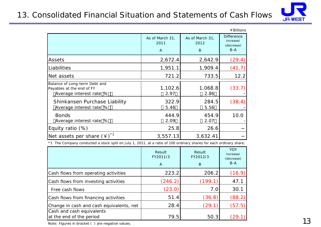### 13. Consolidated Financial Situation and Statements of Cash Flows



|                                                                                       |                              |                              | ¥ Billions                                            |
|---------------------------------------------------------------------------------------|------------------------------|------------------------------|-------------------------------------------------------|
|                                                                                       | As of March 31,<br>2011<br>A | As of March 31,<br>2012<br>B | <b>Difference</b><br>increase/<br>(decrease)<br>$B-A$ |
| Assets                                                                                | 2,672.4                      | 2,642.9                      | (29.4)                                                |
| Liabilities                                                                           | 1,951.1                      | 1,909.4                      | (41.7)                                                |
| Net assets                                                                            | 721.2                        | 733.5                        | 12.2                                                  |
| Balance of Long-term Debt and<br>Payables at the end of FY<br>Average interest rate % | 1,102.6<br>2.97              | 1,068.8<br>2.86              | (33.7)                                                |
| Shinkansen Purchase Liability<br>Average interest rate %                              | 322.9<br>5.46                | 284.5<br>5.56                | (38.4)                                                |
| <b>Bonds</b><br>Average interest rate %                                               | 444.9<br>2.09                | 454.9<br>2.07                | 10.0                                                  |
| Equity ratio (%)                                                                      | 25.8                         | 26.6                         |                                                       |
| Net assets per share $(4)^*$ <sup>1</sup>                                             | 3,557.13                     | 3,632.41                     |                                                       |

\*1 The Company conducted a stock split on July 1, 2011, at a ratio of 100 ordinary shares for each ordinary share.

|                                                       | Result<br>FY2011/3<br>$\overline{A}$ | Result<br>FY2012/3<br>B | <b>YOY</b><br>increase/<br>(decrease)<br>$B-A$ |
|-------------------------------------------------------|--------------------------------------|-------------------------|------------------------------------------------|
| Cash flows from operating activities                  | 223.2                                | 206.2                   | (16.9)                                         |
| Cash flows from investing activities                  | (246.2)                              | (199.1)                 | 47.1                                           |
| Free cash flows                                       | (23.0)                               | 7.0                     | 30.1                                           |
| Cash flows from financing activities                  | 51.4                                 | (36.8)                  | (88.2)                                         |
| Change in cash and cash equivalents, net              | 28.4                                 | (29.1)                  | (57.5)                                         |
| Cash and cash equivalents<br>at the end of the period | 79.5                                 | 50.3                    |                                                |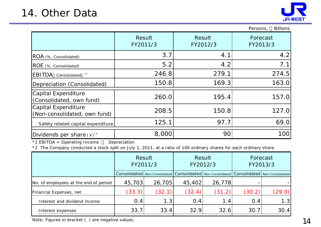

|                                                     |                    |                    | <b>Billions</b><br>Persons, |
|-----------------------------------------------------|--------------------|--------------------|-----------------------------|
|                                                     | Result<br>FY2011/3 | Result<br>FY2012/3 | Forecast<br>FY2013/3        |
| ROA (%, Consolidated)                               | 3.7                | 4.1                | 4.2                         |
| ROE (%, Consolidated)                               | 5.2                | 4.2                | 7.1                         |
| <b>EBITDA</b> Consolidated                          | 246.8              | 279.1              | 274.5                       |
| Depreciation (Consolidated)                         | 150.8              | 169.3              | 163.0                       |
| Capital Expenditure<br>(Consolidated, own fund)     | 260.0              | 195.4              | 157.0                       |
| Capital Expenditure<br>(Non-consolidated, own fund) | 208.5              | 150.8              | 127.0                       |
| Safety related capital expenditure                  | 125.1              | 97.7               | 69.0                        |
| Dividends per share $(*)$ <sup>2</sup>              | 8,000              | 90                 | 100                         |

\*1 EBITDA = Operating Income Depreciation

\*2 The Company conducted a stock split on July 1, 2011, at a ratio of 100 ordinary shares for each ordinary share.

|                                       | Result<br>FY2011/3 |        | Result<br>FY2012/3 |        | Forecast<br>FY2013/3 |                                                                                                     |
|---------------------------------------|--------------------|--------|--------------------|--------|----------------------|-----------------------------------------------------------------------------------------------------|
|                                       |                    |        |                    |        |                      | Consolidated   Non-Consolidated   Consolidated   Non-Consolidated   Consolidated   Non-Consolidated |
| No. of employees at the end of period | 45,703             | 26,705 | 45,402             | 26,778 |                      |                                                                                                     |
| Financial Expenses, net               | (33.3)             | (32.1) | (32.4)             | (31.2) | (30.2)               | (29.0)                                                                                              |
| Interest and dividend income          | 0.4                | 1.3    | 0.4                | 1.4    | 0.4                  | 1.3                                                                                                 |
| Interest expenses                     | 33.7               | 33.4   | 32.9               | 32.6   | 30.7                 | 30.4                                                                                                |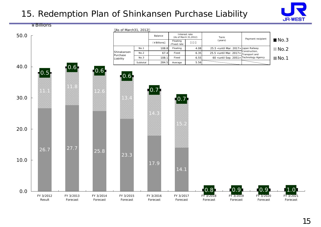# 15. Redemption Plan of Shinkansen Purchase Liability